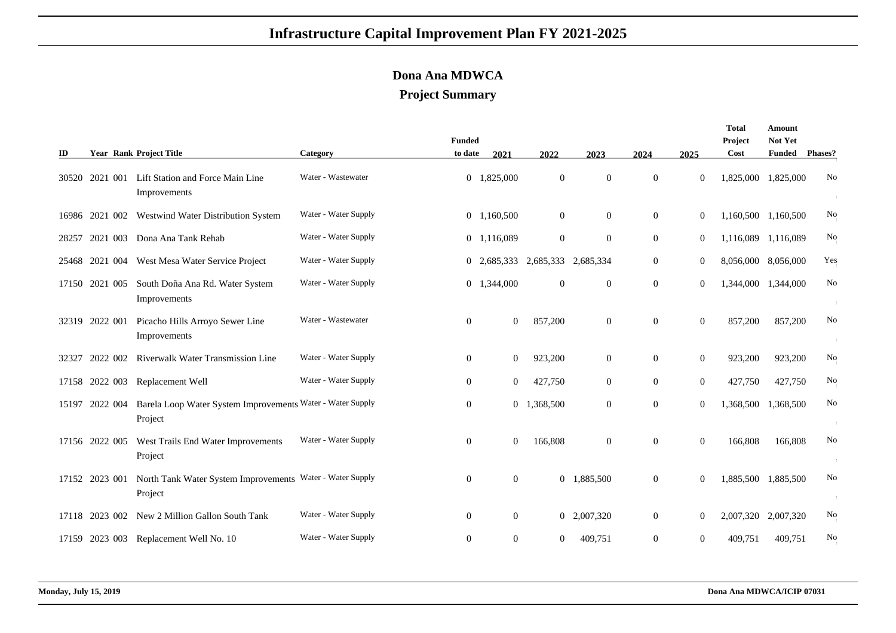## **Infrastructure Capital Improvement Plan FY 2021-2025**

## **Dona Ana MDWCA**

## **Project Summary**

| ID    |                | <b>Year Rank Project Title</b>                                        | Category             | <b>Funded</b><br>to date | 2021           | 2022                | 2023           | 2024             | 2025             | Total<br>Project<br>Cost | Amount<br>Not Yet<br><b>Funded</b> | <b>Phases?</b> |
|-------|----------------|-----------------------------------------------------------------------|----------------------|--------------------------|----------------|---------------------|----------------|------------------|------------------|--------------------------|------------------------------------|----------------|
|       | 30520 2021 001 | Lift Station and Force Main Line<br>Improvements                      | Water - Wastewater   |                          | 0 1,825,000    | $\boldsymbol{0}$    | $\overline{0}$ | $\mathbf{0}$     | $\theta$         | 1,825,000 1,825,000      |                                    | No             |
|       |                | 16986 2021 002 Westwind Water Distribution System                     | Water - Water Supply | $\overline{0}$           | 1,160,500      | $\boldsymbol{0}$    | $\overline{0}$ | $\boldsymbol{0}$ | $\boldsymbol{0}$ | 1,160,500 1,160,500      |                                    | No             |
| 28257 |                | 2021 003 Dona Ana Tank Rehab                                          | Water - Water Supply | $\overline{0}$           | 1,116,089      | $\boldsymbol{0}$    | $\overline{0}$ | $\overline{0}$   | $\mathbf{0}$     | 1,116,089 1,116,089      |                                    | No             |
| 25468 | 2021 004       | West Mesa Water Service Project                                       | Water - Water Supply | 0                        | 2,685,333      | 2,685,333 2,685,334 |                | $\overline{0}$   | $\boldsymbol{0}$ | 8,056,000 8,056,000      |                                    | Yes            |
| 17150 | 2021 005       | South Doña Ana Rd. Water System<br>Improvements                       | Water - Water Supply | $\overline{0}$           | 1,344,000      | $\theta$            | $\overline{0}$ | $\mathbf{0}$     | $\overline{0}$   | 1,344,000 1,344,000      |                                    | No             |
|       | 32319 2022 001 | Picacho Hills Arroyo Sewer Line<br>Improvements                       | Water - Wastewater   | $\overline{0}$           | $\overline{0}$ | 857,200             | $\overline{0}$ | $\overline{0}$   | $\theta$         | 857,200                  | 857,200                            | No             |
| 32327 | 2022 002       | <b>Riverwalk Water Transmission Line</b>                              | Water - Water Supply | $\overline{0}$           | $\overline{0}$ | 923,200             | $\overline{0}$ | $\Omega$         | $\overline{0}$   | 923,200                  | 923,200                            | No             |
|       |                | 17158 2022 003 Replacement Well                                       | Water - Water Supply | $\overline{0}$           | $\overline{0}$ | 427,750             | $\overline{0}$ | $\mathbf{0}$     | $\mathbf{0}$     | 427,750                  | 427,750                            | No             |
|       | 15197 2022 004 | Barela Loop Water System Improvements Water - Water Supply<br>Project |                      | $\overline{0}$           |                | 0 1,368,500         | $\overline{0}$ | $\overline{0}$   | $\overline{0}$   | 1,368,500                | 1,368,500                          | No             |
|       | 17156 2022 005 | West Trails End Water Improvements<br>Project                         | Water - Water Supply | $\mathbf{0}$             | $\overline{0}$ | 166,808             | $\overline{0}$ | $\overline{0}$   | $\boldsymbol{0}$ | 166,808                  | 166,808                            | No             |
|       | 17152 2023 001 | North Tank Water System Improvements Water - Water Supply<br>Project  |                      | $\mathbf{0}$             | $\overline{0}$ | $\overline{0}$      | 1,885,500      | $\mathbf{0}$     | $\overline{0}$   | 1,885,500 1,885,500      |                                    | No             |
|       | 17118 2023 002 | New 2 Million Gallon South Tank                                       | Water - Water Supply | $\overline{0}$           | $\overline{0}$ | $\mathbf{0}$        | 2,007,320      | $\overline{0}$   | $\theta$         | 2,007,320 2,007,320      |                                    | No             |
|       |                | 17159 2023 003 Replacement Well No. 10                                | Water - Water Supply | $\overline{0}$           | $\overline{0}$ | $\overline{0}$      | 409,751        | $\overline{0}$   | $\theta$         | 409,751                  | 409,751                            | No             |